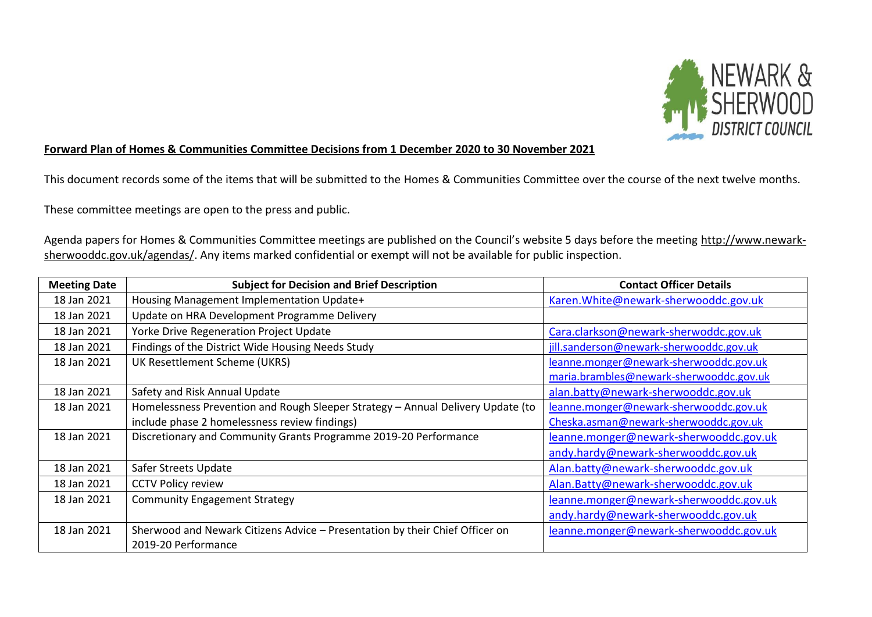

## **Forward Plan of Homes & Communities Committee Decisions from 1 December 2020 to 30 November 2021**

This document records some of the items that will be submitted to the Homes & Communities Committee over the course of the next twelve months.

These committee meetings are open to the press and public.

Agenda papers for Homes & Communities Committee meetings are published on the Council's website 5 days before the meeting [http://www.newark](http://www.newark-sherwooddc.gov.uk/agendas/)[sherwooddc.gov.uk/agendas/.](http://www.newark-sherwooddc.gov.uk/agendas/) Any items marked confidential or exempt will not be available for public inspection.

| <b>Meeting Date</b> | <b>Subject for Decision and Brief Description</b>                               | <b>Contact Officer Details</b>          |
|---------------------|---------------------------------------------------------------------------------|-----------------------------------------|
| 18 Jan 2021         | Housing Management Implementation Update+                                       | Karen. White@newark-sherwooddc.gov.uk   |
| 18 Jan 2021         | Update on HRA Development Programme Delivery                                    |                                         |
| 18 Jan 2021         | Yorke Drive Regeneration Project Update                                         | Cara.clarkson@newark-sherwoddc.gov.uk   |
| 18 Jan 2021         | Findings of the District Wide Housing Needs Study                               | jill.sanderson@newark-sherwooddc.gov.uk |
| 18 Jan 2021         | UK Resettlement Scheme (UKRS)                                                   | leanne.monger@newark-sherwooddc.gov.uk  |
|                     |                                                                                 | maria.brambles@newark-sherwooddc.gov.uk |
| 18 Jan 2021         | Safety and Risk Annual Update                                                   | alan.batty@newark-sherwooddc.gov.uk     |
| 18 Jan 2021         | Homelessness Prevention and Rough Sleeper Strategy - Annual Delivery Update (to | leanne.monger@newark-sherwooddc.gov.uk  |
|                     | include phase 2 homelessness review findings)                                   | Cheska.asman@newark-sherwooddc.gov.uk   |
| 18 Jan 2021         | Discretionary and Community Grants Programme 2019-20 Performance                | leanne.monger@newark-sherwooddc.gov.uk  |
|                     |                                                                                 | andy.hardy@newark-sherwooddc.gov.uk     |
| 18 Jan 2021         | Safer Streets Update                                                            | Alan.batty@newark-sherwooddc.gov.uk     |
| 18 Jan 2021         | <b>CCTV Policy review</b>                                                       | Alan.Batty@newark-sherwooddc.gov.uk     |
| 18 Jan 2021         | <b>Community Engagement Strategy</b>                                            | leanne.monger@newark-sherwooddc.gov.uk  |
|                     |                                                                                 | andy.hardy@newark-sherwooddc.gov.uk     |
| 18 Jan 2021         | Sherwood and Newark Citizens Advice - Presentation by their Chief Officer on    | leanne.monger@newark-sherwooddc.gov.uk  |
|                     | 2019-20 Performance                                                             |                                         |